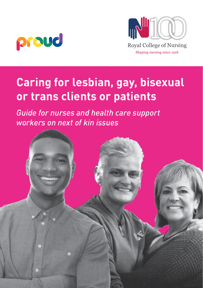



Shaping nursing since 1916

# **Caring for lesbian, gay, bisexual or trans clients or patients**

*Guide for nurses and health care support workers on next of kin issues*

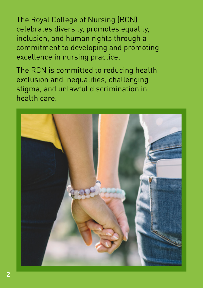The Royal College of Nursing (RCN) celebrates diversity, promotes equality, inclusion, and human rights through a commitment to developing and promoting excellence in nursing practice.

The RCN is committed to reducing health exclusion and inequalities, challenging stigma, and unlawful discrimination in health care.

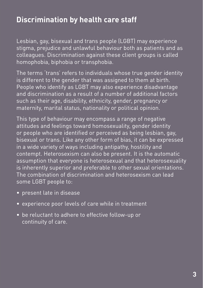### **Discrimination by health care staff**

Lesbian, gay, bisexual and trans people (LGBT) may experience stigma, prejudice and unlawful behaviour both as patients and as colleagues. Discrimination against these client groups is called homophobia, biphobia or transphobia.

The terms trans' refers to individuals whose true gender identity is different to the gender that was assigned to them at birth. People who identify as LGBT may also experience disadvantage and discrimination as a result of a number of additional factors. such as their age, disability, ethnicity, gender, pregnancy or maternity, marital status, nationality or political opinion.

This type of behaviour may encompass a range of negative attitudes and feelings toward homosexuality, gender identity or people who are identified or perceived as being lesbian, gay, bisexual or trans. Like any other form of bias, it can be expressed in a wide variety of ways including antipathy, hostility and contempt. Heterosexism can also be present. It is the automatic assumption that everyone is heterosexual and that heterosexuality is inherently superior and preferable to other sexual orientations. The combination of discrimination and heterosexism can lead some LGBT people to:

- • present late in disease
- experience poor levels of care while in treatment
- be reluctant to adhere to effective follow-up or continuity of care.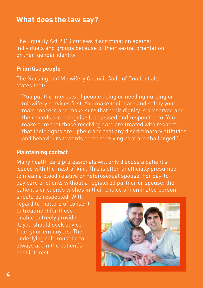### **What does the law say?**

The Equality Act 2010 outlaws discrimination against individuals and groups because of their sexual orientation or their gender identity.

#### **Prioritise people**

The Nursing and Midwifery Council Code of Conduct also states that:

 'You put the interests of people using or needing nursing or midwifery services first. You make their care and safety your main concern and make sure that their dignity is preserved and their needs are recognised, assessed and responded to. You make sure that those receiving care are treated with respect, that their rights are upheld and that any discriminatory attitudes and behaviours towards those receiving care are challenged.'

#### **Maintaining contact**

Many health care professionals will only discuss a patient's issues with the 'next of kin'. This is often unofficially presumed to mean a blood relative or heterosexual spouse. For day-today care of clients without a registered partner or spouse, the patient's or client's wishes in their choice of nominated person

should be respected. With regard to matters of consent to treatment for those unable to freely provide it, you should seek advice from your employers. The underlying rule must be to always act in the patient's best interest.

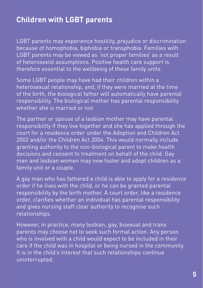### **Children with LGBT parents**

LGBT parents may experience hostility, prejudice or discrimination because of homophobia, biphobia or transphobia. Families with LGBT parents may be viewed as 'not proper families' as a result of heterosexist assumptions. Positive health care support is therefore essential to the wellbeing of these family units.

Some LGBT people may have had their children within a heterosexual relationship, and, if they were married at the time of the birth, the biological father will automatically have parental responsibility. The biological mother has parental responsibility whether she is married or not.

The partner or spouse of a lesbian mother may have parental responsibility if they live together and she has applied through the court for a residence order under the Adoption and Children Act 2002 and/or the Children Act 2004. This would normally include granting authority to the non-biological parent to make health decisions and consent to treatment on behalf of the child. Gay men and lesbian women may now foster and adopt children as a family unit or a couple.

A gay man who has fathered a child is able to apply for a residence order if he lives with the child, or he can be granted parental responsibility by the birth mother. A court order, like a residence order, clarifies whether an individual has parental responsibility and gives nursing staff clear authority to recognise such relationships.

However, in practice, many lesbian, gay, bisexual and trans parents may choose not to seek such formal action. Any person who is involved with a child would expect to be included in their care if the child was in hospital or being nursed in the community. It is in the child's interest that such relationships continue uninterrupted.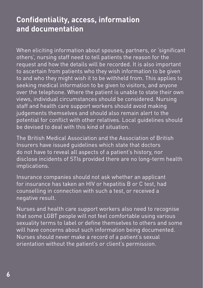## **Confidentiality, access, information and documentation**

When eliciting information about spouses, partners, or 'significant others', nursing staff need to tell patients the reason for the request and how the details will be recorded. It is also important to ascertain from patients who they wish information to be given to and who they might wish it to be withheld from. This applies to seeking medical information to be given to visitors, and anyone over the telephone. Where the patient is unable to state their own views, individual circumstances should be considered. Nursing staff and health care support workers should avoid making judgements themselves and should also remain alert to the potential for conflict with other relatives. Local guidelines should be devised to deal with this kind of situation.

The British Medical Association and the Association of British Insurers have issued guidelines which state that doctors do not have to reveal all aspects of a patient's history, nor disclose incidents of STIs provided there are no long-term health implications.

Insurance companies should not ask whether an applicant for insurance has taken an HIV or hepatitis B or C test, had counselling in connection with such a test, or received a negative result.

Nurses and health care support workers also need to recognise that some LGBT people will not feel comfortable using various sexuality terms to label or define themselves to others and some will have concerns about such information being documented. Nurses should never make a record of a patient's sexual orientation without the patient's or client's permission.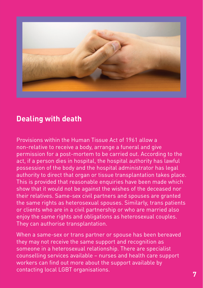

### **Dealing with death**

Provisions within the Human Tissue Act of 1961 allow a non-relative to receive a body, arrange a funeral and give permission for a post-mortem to be carried out. According to the act, if a person dies in hospital, the hospital authority has lawful possession of the body and the hospital administrator has legal authority to direct that organ or tissue transplantation takes place. This is provided that reasonable enquiries have been made which show that it would not be against the wishes of the deceased nor their relatives. Same-sex civil partners and spouses are granted the same rights as heterosexual spouses. Similarly, trans patients or clients who are in a civil partnership or who are married also enjoy the same rights and obligations as heterosexual couples. They can authorise transplantation.

When a same-sex or trans partner or spouse has been bereaved they may not receive the same support and recognition as someone in a heterosexual relationship. There are specialist counselling services available – nurses and health care support workers can find out more about the support available by contacting local LGBT organisations.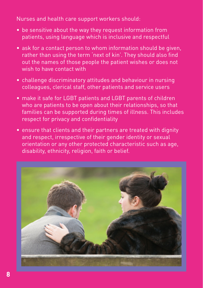Nurses and health care support workers should:

- be sensitive about the way they request information from patients, using language which is inclusive and respectful
- ask for a contact person to whom information should be given, rather than using the term 'next of kin'. They should also find out the names of those people the patient wishes or does not wish to have contact with
- challenge discriminatory attitudes and behaviour in nursing colleagues, clerical staff, other patients and service users
- make it safe for LGBT patients and LGBT parents of children who are patients to be open about their relationships, so that families can be supported during times of illness. This includes respect for privacy and confidentiality
- ensure that clients and their partners are treated with dignity and respect, irrespective of their gender identity or sexual orientation or any other protected characteristic such as age, disability, ethnicity, religion, faith or belief.

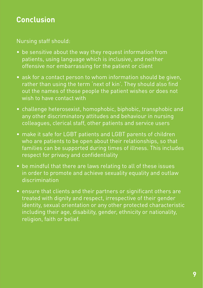## **Conclusion**

#### Nursing staff should:

- be sensitive about the way they request information from patients, using language which is inclusive, and neither offensive nor embarrassing for the patient or client
- ask for a contact person to whom information should be given, rather than using the term 'next of kin'. They should also find out the names of those people the patient wishes or does not wish to have contact with
- challenge heterosexist, homophobic, biphobic, transphobic and any other discriminatory attitudes and behaviour in nursing colleagues, clerical staff, other patients and service users
- make it safe for LGBT patients and LGBT parents of children who are patients to be open about their relationships, so that families can be supported during times of illness. This includes respect for privacy and confidentiality
- be mindful that there are laws relating to all of these issues in order to promote and achieve sexuality equality and outlaw discrimination
- ensure that clients and their partners or significant others are treated with dignity and respect, irrespective of their gender identity, sexual orientation or any other protected characteristic including their age, disability, gender, ethnicity or nationality, religion, faith or belief.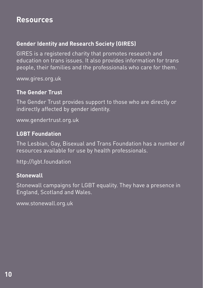### **Resources**

### **Gender Identity and Research Society (GIRES)**

GIRES is a registered charity that promotes research and education on trans issues. It also provides information for trans people, their families and the professionals who care for them.

[www.gires.org.uk](http://www.gires.org.uk)

#### **The Gender Trust**

The Gender Trust provides support to those who are directly or indirectly affected by gender identity.

[www.gendertrust.org.uk](http://www.gendertrust.org.uk)

#### **LGBT Foundation**

The Lesbian, Gay, Bisexual and Trans Foundation has a number of resources available for use by health professionals.

<http://lgbt.foundation>

#### **Stonewall**

Stonewall campaigns for LGBT equality. They have a presence in England, Scotland and Wales.

[www.stonewall.org.uk](http://www.stonewall.org.uk)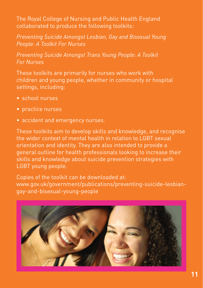The Royal College of Nursing and Public Health England collaborated to produce the following toolkits:

*Preventing Suicide Amongst Lesbian, Gay and Bisexual Young People: A Toolkit For Nurses*

*Preventing Suicide Amongst Trans Young People: A Toolkit For Nurses*

These toolkits are primarily for nurses who work with children and young people, whether in community or hospital settings, including:

- school nurses
- practice nurses
- accident and emergency nurses.

These toolkits aim to develop skills and knowledge, and recognise the wider context of mental health in relation to LGBT sexual orientation and identity. They are also intended to provide a general outline for health professionals looking to increase their skills and knowledge about suicide prevention strategies with LGBT young people.

Copies of the toolkit can be downloaded at: [www.gov.uk/government/publications/preventing-suicide-lesbian](http://www.gov.uk/government/publications/preventing-suicide-lesbian-gay-and-bisexual-young-people)gay-and-bisexual-young-people